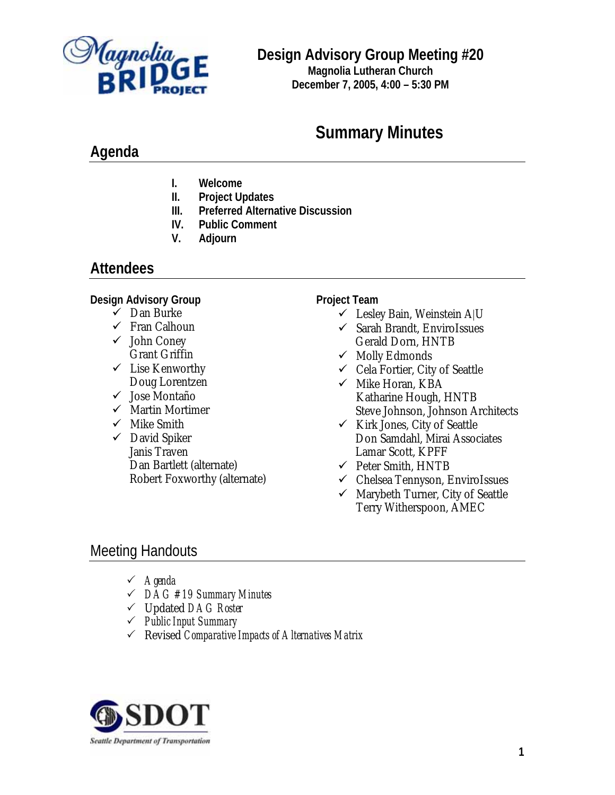

**Design Advisory Group Meeting #20 Magnolia Lutheran Church** 

**December 7, 2005, 4:00 – 5:30 PM**

# **Summary Minutes**

# **Agenda**

- **I. Welcome**
- **II. Project Updates**
- **III. Preferred Alternative Discussion**
- **IV. Public Comment**
- **V. Adjourn**

### **Attendees**

#### **Design Advisory Group**

- $\checkmark$  Dan Burke
- $\checkmark$  Fran Calhoun
- $\checkmark$  John Coney Grant Griffin
- $\checkmark$  Lise Kenworthy Doug Lorentzen
- 9 Jose Montaño
- $\checkmark$  Martin Mortimer
- $\checkmark$  Mike Smith
- $\checkmark$  David Spiker Janis Traven Dan Bartlett (alternate) Robert Foxworthy (alternate)

#### **Project Team**

- $\checkmark$  Lesley Bain, Weinstein A|U
- $\checkmark$  Sarah Brandt, EnviroIssues Gerald Dorn, HNTB
- $\checkmark$  Molly Edmonds
- $\checkmark$  Cela Fortier, City of Seattle
- $\checkmark$  Mike Horan, KBA Katharine Hough, HNTB Steve Johnson, Johnson Architects
- $\checkmark$  Kirk Jones, City of Seattle Don Samdahl, Mirai Associates Lamar Scott, KPFF
- $\checkmark$  Peter Smith, HNTB
- $\checkmark$  Chelsea Tennyson, EnviroIssues
- $\checkmark$  Marybeth Turner, City of Seattle Terry Witherspoon, AMEC

## Meeting Handouts

- 3 *Agenda*
- 3 *DAG #19 Summary Minutes*
- 3 Updated *DAG Roster*
- 3 *Public Input Summary*
- 3 Revised *Comparative Impacts of Alternatives Matrix*

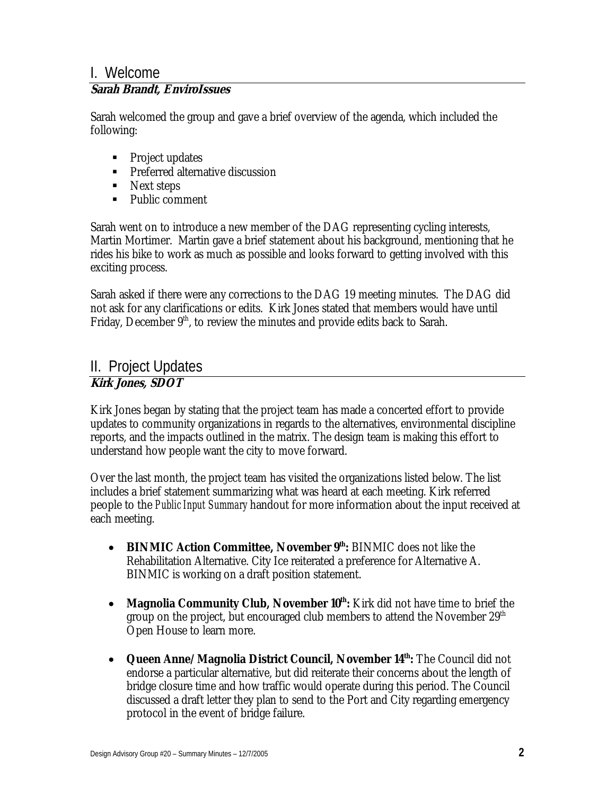### I. Welcome

#### **Sarah Brandt, EnviroIssues**

Sarah welcomed the group and gave a brief overview of the agenda, which included the following:

- Project updates
- **Preferred alternative discussion**
- Next steps
- Public comment

Sarah went on to introduce a new member of the DAG representing cycling interests, Martin Mortimer. Martin gave a brief statement about his background, mentioning that he rides his bike to work as much as possible and looks forward to getting involved with this exciting process.

Sarah asked if there were any corrections to the DAG 19 meeting minutes. The DAG did not ask for any clarifications or edits. Kirk Jones stated that members would have until Friday, December  $9<sup>th</sup>$ , to review the minutes and provide edits back to Sarah.

#### II. Project Updates **Kirk Jones, SDOT**

Kirk Jones began by stating that the project team has made a concerted effort to provide updates to community organizations in regards to the alternatives, environmental discipline reports, and the impacts outlined in the matrix. The design team is making this effort to understand how people want the city to move forward.

Over the last month, the project team has visited the organizations listed below. The list includes a brief statement summarizing what was heard at each meeting. Kirk referred people to the *Public Input Summary* handout for more information about the input received at each meeting.

- **BINMIC Action Committee, November 9<sup>th</sup>: BINMIC does not like the** Rehabilitation Alternative. City Ice reiterated a preference for Alternative A. BINMIC is working on a draft position statement.
- **Magnolia Community Club, November 10<sup>th</sup>:** Kirk did not have time to brief the group on the project, but encouraged club members to attend the November 29<sup>th</sup> Open House to learn more.
- **Queen Anne/Magnolia District Council, November 14th:** The Council did not endorse a particular alternative, but did reiterate their concerns about the length of bridge closure time and how traffic would operate during this period. The Council discussed a draft letter they plan to send to the Port and City regarding emergency protocol in the event of bridge failure.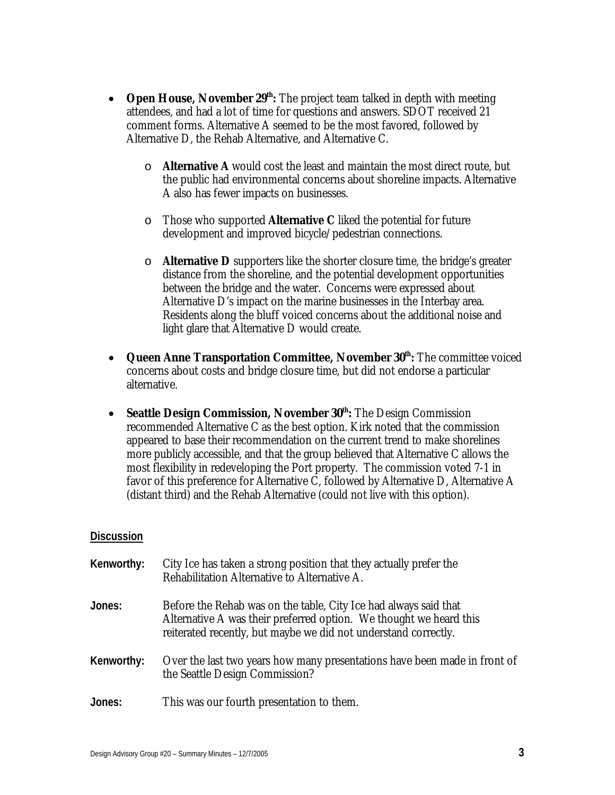- **Open House, November 29<sup>th</sup>:** The project team talked in depth with meeting attendees, and had a lot of time for questions and answers. SDOT received 21 comment forms. Alternative A seemed to be the most favored, followed by Alternative D, the Rehab Alternative, and Alternative C.
	- o **Alternative A** would cost the least and maintain the most direct route, but the public had environmental concerns about shoreline impacts. Alternative A also has fewer impacts on businesses.
	- o Those who supported **Alternative C** liked the potential for future development and improved bicycle/pedestrian connections.
	- o **Alternative D** supporters like the shorter closure time, the bridge's greater distance from the shoreline, and the potential development opportunities between the bridge and the water. Concerns were expressed about Alternative D's impact on the marine businesses in the Interbay area. Residents along the bluff voiced concerns about the additional noise and light glare that Alternative D would create.
- **Queen Anne Transportation Committee, November 30<sup>th</sup>: The committee voiced** concerns about costs and bridge closure time, but did not endorse a particular alternative.
- **Seattle Design Commission, November 30<sup>th</sup>:** The Design Commission recommended Alternative C as the best option. Kirk noted that the commission appeared to base their recommendation on the current trend to make shorelines more publicly accessible, and that the group believed that Alternative C allows the most flexibility in redeveloping the Port property. The commission voted 7-1 in favor of this preference for Alternative C, followed by Alternative D, Alternative A (distant third) and the Rehab Alternative (could not live with this option).

#### **Discussion**

| Kenworthy: | City Ice has taken a strong position that they actually prefer the<br>Rehabilitation Alternative to Alternative A.                                                                                        |
|------------|-----------------------------------------------------------------------------------------------------------------------------------------------------------------------------------------------------------|
| Jones:     | Before the Rehab was on the table, City Ice had always said that<br>Alternative A was their preferred option. We thought we heard this<br>reiterated recently, but maybe we did not understand correctly. |
| Kenworthy: | Over the last two years how many presentations have been made in front of<br>the Seattle Design Commission?                                                                                               |
| Jones:     | This was our fourth presentation to them.                                                                                                                                                                 |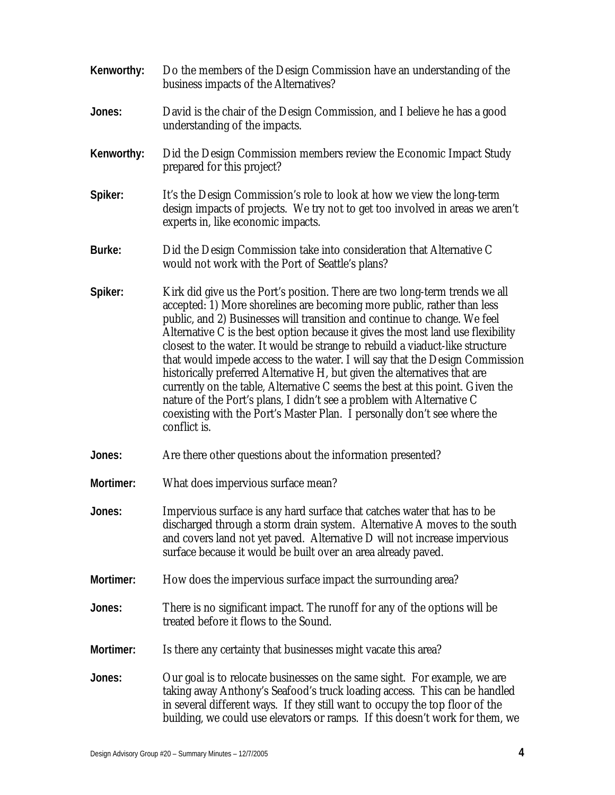| Kenworthy: | Do the members of the Design Commission have an understanding of the<br>business impacts of the Alternatives?                                                                                                                                                                                                                                                                                                                                                                                                                                                                                                                                                                                                                                                                                                              |
|------------|----------------------------------------------------------------------------------------------------------------------------------------------------------------------------------------------------------------------------------------------------------------------------------------------------------------------------------------------------------------------------------------------------------------------------------------------------------------------------------------------------------------------------------------------------------------------------------------------------------------------------------------------------------------------------------------------------------------------------------------------------------------------------------------------------------------------------|
| Jones:     | David is the chair of the Design Commission, and I believe he has a good<br>understanding of the impacts.                                                                                                                                                                                                                                                                                                                                                                                                                                                                                                                                                                                                                                                                                                                  |
| Kenworthy: | Did the Design Commission members review the Economic Impact Study<br>prepared for this project?                                                                                                                                                                                                                                                                                                                                                                                                                                                                                                                                                                                                                                                                                                                           |
| Spiker:    | It's the Design Commission's role to look at how we view the long-term<br>design impacts of projects. We try not to get too involved in areas we aren't<br>experts in, like economic impacts.                                                                                                                                                                                                                                                                                                                                                                                                                                                                                                                                                                                                                              |
| Burke:     | Did the Design Commission take into consideration that Alternative C<br>would not work with the Port of Seattle's plans?                                                                                                                                                                                                                                                                                                                                                                                                                                                                                                                                                                                                                                                                                                   |
| Spiker:    | Kirk did give us the Port's position. There are two long-term trends we all<br>accepted: 1) More shorelines are becoming more public, rather than less<br>public, and 2) Businesses will transition and continue to change. We feel<br>Alternative C is the best option because it gives the most land use flexibility<br>closest to the water. It would be strange to rebuild a viaduct-like structure<br>that would impede access to the water. I will say that the Design Commission<br>historically preferred Alternative H, but given the alternatives that are<br>currently on the table, Alternative C seems the best at this point. Given the<br>nature of the Port's plans, I didn't see a problem with Alternative C<br>coexisting with the Port's Master Plan. I personally don't see where the<br>conflict is. |
| Jones:     | Are there other questions about the information presented?                                                                                                                                                                                                                                                                                                                                                                                                                                                                                                                                                                                                                                                                                                                                                                 |
| Mortimer:  | What does impervious surface mean?                                                                                                                                                                                                                                                                                                                                                                                                                                                                                                                                                                                                                                                                                                                                                                                         |
| Jones:     | Impervious surface is any hard surface that catches water that has to be<br>discharged through a storm drain system. Alternative A moves to the south<br>and covers land not yet paved. Alternative D will not increase impervious<br>surface because it would be built over an area already paved.                                                                                                                                                                                                                                                                                                                                                                                                                                                                                                                        |
| Mortimer:  | How does the impervious surface impact the surrounding area?                                                                                                                                                                                                                                                                                                                                                                                                                                                                                                                                                                                                                                                                                                                                                               |
| Jones:     | There is no significant impact. The runoff for any of the options will be<br>treated before it flows to the Sound.                                                                                                                                                                                                                                                                                                                                                                                                                                                                                                                                                                                                                                                                                                         |
| Mortimer:  | Is there any certainty that businesses might vacate this area?                                                                                                                                                                                                                                                                                                                                                                                                                                                                                                                                                                                                                                                                                                                                                             |
| Jones:     | Our goal is to relocate businesses on the same sight. For example, we are<br>taking away Anthony's Seafood's truck loading access. This can be handled<br>in several different ways. If they still want to occupy the top floor of the<br>building, we could use elevators or ramps. If this doesn't work for them, we                                                                                                                                                                                                                                                                                                                                                                                                                                                                                                     |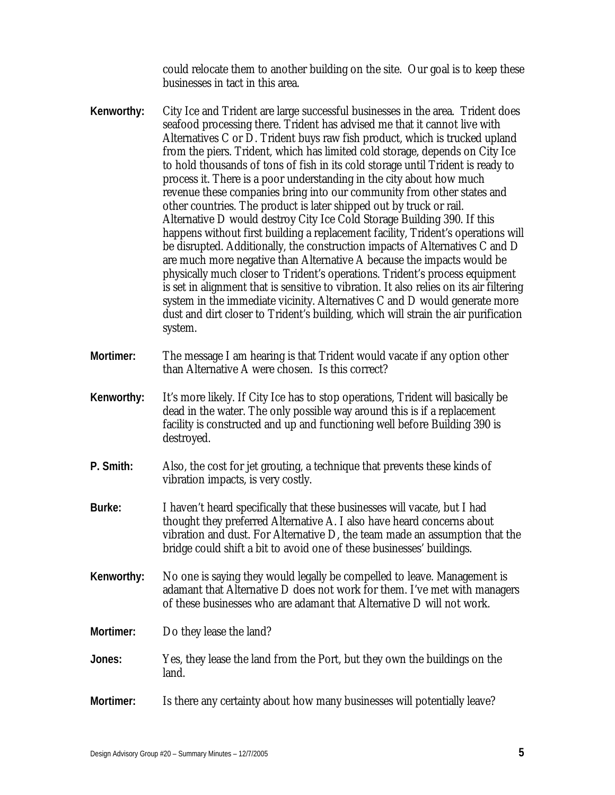could relocate them to another building on the site. Our goal is to keep these businesses in tact in this area.

- **Kenworthy:** City Ice and Trident are large successful businesses in the area. Trident does seafood processing there. Trident has advised me that it cannot live with Alternatives C or D. Trident buys raw fish product, which is trucked upland from the piers. Trident, which has limited cold storage, depends on City Ice to hold thousands of tons of fish in its cold storage until Trident is ready to process it. There is a poor understanding in the city about how much revenue these companies bring into our community from other states and other countries. The product is later shipped out by truck or rail. Alternative D would destroy City Ice Cold Storage Building 390. If this happens without first building a replacement facility, Trident's operations will be disrupted. Additionally, the construction impacts of Alternatives C and D are much more negative than Alternative A because the impacts would be physically much closer to Trident's operations. Trident's process equipment is set in alignment that is sensitive to vibration. It also relies on its air filtering system in the immediate vicinity. Alternatives C and D would generate more dust and dirt closer to Trident's building, which will strain the air purification system.
- **Mortimer:** The message I am hearing is that Trident would vacate if any option other than Alternative A were chosen. Is this correct?
- **Kenworthy:** It's more likely. If City Ice has to stop operations, Trident will basically be dead in the water. The only possible way around this is if a replacement facility is constructed and up and functioning well before Building 390 is destroyed.
- **P. Smith:** Also, the cost for jet grouting, a technique that prevents these kinds of vibration impacts, is very costly.
- **Burke:** I haven't heard specifically that these businesses will vacate, but I had thought they preferred Alternative A. I also have heard concerns about vibration and dust. For Alternative D, the team made an assumption that the bridge could shift a bit to avoid one of these businesses' buildings.
- **Kenworthy:** No one is saying they would legally be compelled to leave. Management is adamant that Alternative D does not work for them. I've met with managers of these businesses who are adamant that Alternative D will not work.
- **Mortimer:** Do they lease the land?
- **Jones:** Yes, they lease the land from the Port, but they own the buildings on the land.
- **Mortimer:** Is there any certainty about how many businesses will potentially leave?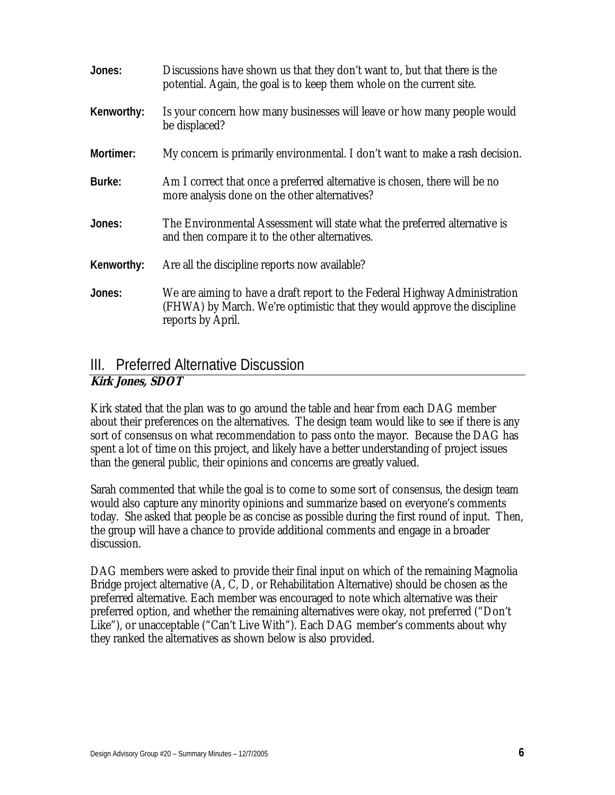| Jones:     | Discussions have shown us that they don't want to, but that there is the<br>potential. Again, the goal is to keep them whole on the current site.                           |
|------------|-----------------------------------------------------------------------------------------------------------------------------------------------------------------------------|
| Kenworthy: | Is your concern how many businesses will leave or how many people would<br>be displaced?                                                                                    |
| Mortimer:  | My concern is primarily environmental. I don't want to make a rash decision.                                                                                                |
| Burke:     | Am I correct that once a preferred alternative is chosen, there will be no<br>more analysis done on the other alternatives?                                                 |
| Jones:     | The Environmental Assessment will state what the preferred alternative is<br>and then compare it to the other alternatives.                                                 |
| Kenworthy: | Are all the discipline reports now available?                                                                                                                               |
| Jones:     | We are aiming to have a draft report to the Federal Highway Administration<br>(FHWA) by March. We're optimistic that they would approve the discipline<br>reports by April. |

### III. Preferred Alternative Discussion **Kirk Jones, SDOT**

Kirk stated that the plan was to go around the table and hear from each DAG member about their preferences on the alternatives. The design team would like to see if there is any sort of consensus on what recommendation to pass onto the mayor. Because the DAG has spent a lot of time on this project, and likely have a better understanding of project issues than the general public, their opinions and concerns are greatly valued.

Sarah commented that while the goal is to come to some sort of consensus, the design team would also capture any minority opinions and summarize based on everyone's comments today. She asked that people be as concise as possible during the first round of input. Then, the group will have a chance to provide additional comments and engage in a broader discussion.

DAG members were asked to provide their final input on which of the remaining Magnolia Bridge project alternative (A, C, D, or Rehabilitation Alternative) should be chosen as the preferred alternative. Each member was encouraged to note which alternative was their preferred option, and whether the remaining alternatives were okay, not preferred ("Don't Like"), or unacceptable ("Can't Live With"). Each DAG member's comments about why they ranked the alternatives as shown below is also provided.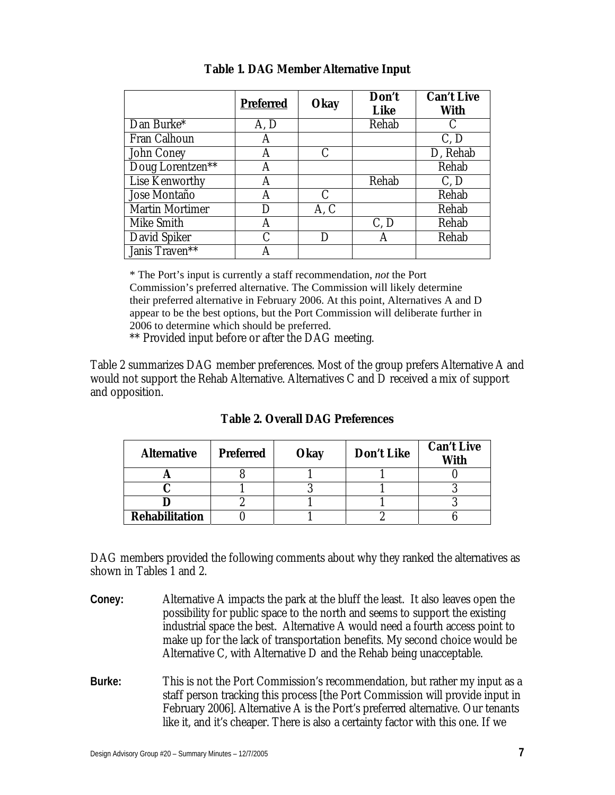|                        | <b>Preferred</b> | Okay | Don't<br><b>Like</b> | <b>Can't Live</b><br><b>With</b> |
|------------------------|------------------|------|----------------------|----------------------------------|
| Dan Burke*             | A, D             |      | Rehab                |                                  |
| Fran Calhoun           | А                |      |                      | C, D                             |
| John Coney             | А                |      |                      | D, Rehab                         |
| Doug Lorentzen**       | А                |      |                      | Rehab                            |
| Lise Kenworthy         | А                |      | Rehab                | C, D                             |
| Jose Montaño           |                  | C    |                      | Rehab                            |
| <b>Martin Mortimer</b> |                  | A, C |                      | Rehab                            |
| Mike Smith             | А                |      | C, D                 | Rehab                            |
| David Spiker           | $\subset$        |      | А                    | Rehab                            |
| Janis Traven**         |                  |      |                      |                                  |

#### **Table 1. DAG Member Alternative Input**

\* The Port's input is currently a staff recommendation, *not* the Port Commission's preferred alternative. The Commission will likely determine their preferred alternative in February 2006. At this point, Alternatives A and D appear to be the best options, but the Port Commission will deliberate further in 2006 to determine which should be preferred.

\*\* Provided input before or after the DAG meeting.

Table 2 summarizes DAG member preferences. Most of the group prefers Alternative A and would not support the Rehab Alternative. Alternatives C and D received a mix of support and opposition.

| <b>Alternative</b>    | <b>Preferred</b> | Okay | <b>Don't Like</b> | <b>Can't Live</b><br><b>With</b> |
|-----------------------|------------------|------|-------------------|----------------------------------|
|                       |                  |      |                   |                                  |
|                       |                  |      |                   |                                  |
|                       | ∼                |      |                   |                                  |
| <b>Rehabilitation</b> |                  |      |                   |                                  |

**Table 2. Overall DAG Preferences** 

DAG members provided the following comments about why they ranked the alternatives as shown in Tables 1 and 2.

- **Coney:** Alternative A impacts the park at the bluff the least. It also leaves open the possibility for public space to the north and seems to support the existing industrial space the best. Alternative A would need a fourth access point to make up for the lack of transportation benefits. My second choice would be Alternative C, with Alternative D and the Rehab being unacceptable.
- **Burke:** This is not the Port Commission's recommendation, but rather my input as a staff person tracking this process [the Port Commission will provide input in February 2006]. Alternative A is the Port's preferred alternative. Our tenants like it, and it's cheaper. There is also a certainty factor with this one. If we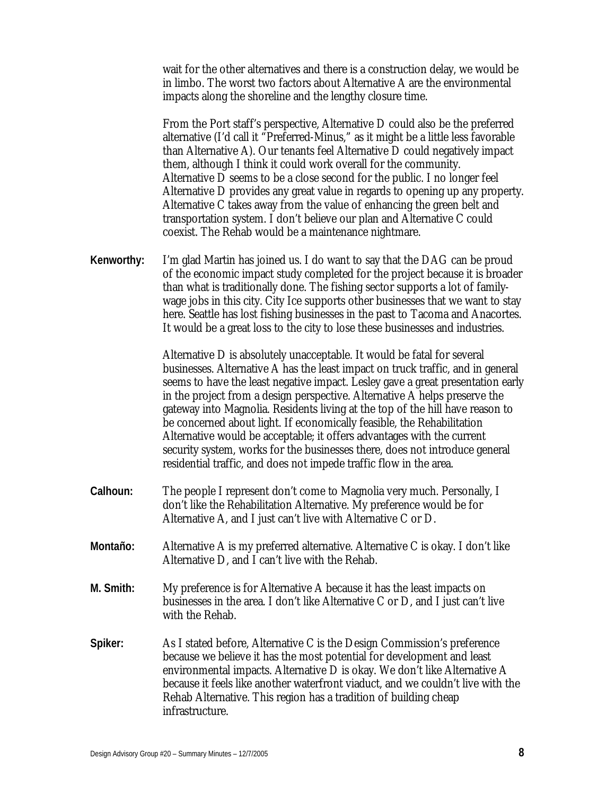wait for the other alternatives and there is a construction delay, we would be in limbo. The worst two factors about Alternative A are the environmental impacts along the shoreline and the lengthy closure time.

From the Port staff's perspective, Alternative D could also be the preferred alternative (I'd call it "Preferred-Minus," as it might be a little less favorable than Alternative A). Our tenants feel Alternative D could negatively impact them, although I think it could work overall for the community. Alternative D seems to be a close second for the public. I no longer feel Alternative D provides any great value in regards to opening up any property. Alternative C takes away from the value of enhancing the green belt and transportation system. I don't believe our plan and Alternative C could coexist. The Rehab would be a maintenance nightmare.

**Kenworthy:** I'm glad Martin has joined us. I do want to say that the DAG can be proud of the economic impact study completed for the project because it is broader than what is traditionally done. The fishing sector supports a lot of familywage jobs in this city. City Ice supports other businesses that we want to stay here. Seattle has lost fishing businesses in the past to Tacoma and Anacortes. It would be a great loss to the city to lose these businesses and industries.

> Alternative D is absolutely unacceptable. It would be fatal for several businesses. Alternative A has the least impact on truck traffic, and in general seems to have the least negative impact. Lesley gave a great presentation early in the project from a design perspective. Alternative A helps preserve the gateway into Magnolia. Residents living at the top of the hill have reason to be concerned about light. If economically feasible, the Rehabilitation Alternative would be acceptable; it offers advantages with the current security system, works for the businesses there, does not introduce general residential traffic, and does not impede traffic flow in the area.

- **Calhoun:** The people I represent don't come to Magnolia very much. Personally, I don't like the Rehabilitation Alternative. My preference would be for Alternative A, and I just can't live with Alternative C or D.
- **Montaño:** Alternative A is my preferred alternative. Alternative C is okay. I don't like Alternative D, and I can't live with the Rehab.
- **M. Smith:** My preference is for Alternative A because it has the least impacts on businesses in the area. I don't like Alternative C or D, and I just can't live with the Rehab.
- **Spiker:** As I stated before, Alternative C is the Design Commission's preference because we believe it has the most potential for development and least environmental impacts. Alternative D is okay. We don't like Alternative A because it feels like another waterfront viaduct, and we couldn't live with the Rehab Alternative. This region has a tradition of building cheap infrastructure.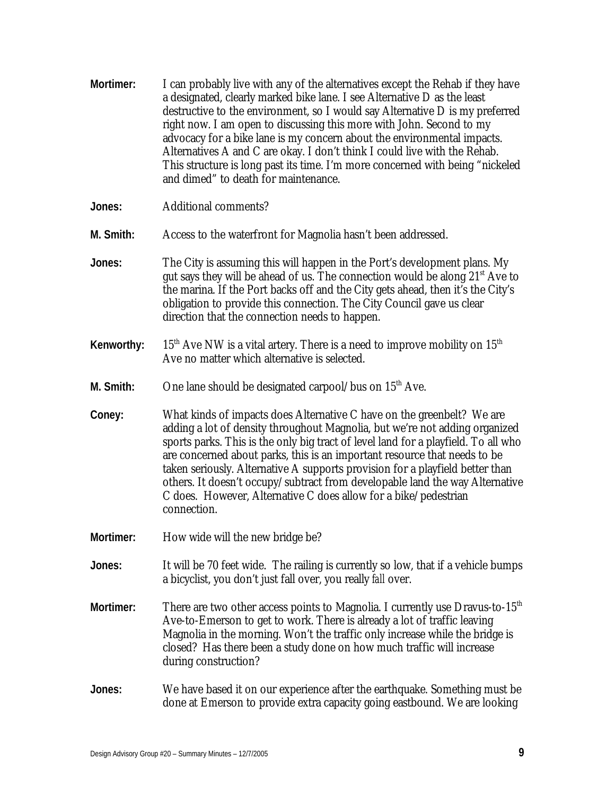| Mortimer:  | I can probably live with any of the alternatives except the Rehab if they have<br>a designated, clearly marked bike lane. I see Alternative D as the least<br>destructive to the environment, so I would say Alternative D is my preferred<br>right now. I am open to discussing this more with John. Second to my<br>advocacy for a bike lane is my concern about the environmental impacts.<br>Alternatives A and C are okay. I don't think I could live with the Rehab.<br>This structure is long past its time. I'm more concerned with being "nickeled<br>and dimed" to death for maintenance. |
|------------|-----------------------------------------------------------------------------------------------------------------------------------------------------------------------------------------------------------------------------------------------------------------------------------------------------------------------------------------------------------------------------------------------------------------------------------------------------------------------------------------------------------------------------------------------------------------------------------------------------|
| Jones:     | Additional comments?                                                                                                                                                                                                                                                                                                                                                                                                                                                                                                                                                                                |
| M. Smith:  | Access to the waterfront for Magnolia hasn't been addressed.                                                                                                                                                                                                                                                                                                                                                                                                                                                                                                                                        |
| Jones:     | The City is assuming this will happen in the Port's development plans. My<br>gut says they will be ahead of us. The connection would be along 21 <sup>st</sup> Ave to<br>the marina. If the Port backs off and the City gets ahead, then it's the City's<br>obligation to provide this connection. The City Council gave us clear<br>direction that the connection needs to happen.                                                                                                                                                                                                                 |
| Kenworthy: | $15th$ Ave NW is a vital artery. There is a need to improve mobility on $15th$<br>Ave no matter which alternative is selected.                                                                                                                                                                                                                                                                                                                                                                                                                                                                      |
| M. Smith:  | One lane should be designated carpool/bus on 15 <sup>th</sup> Ave.                                                                                                                                                                                                                                                                                                                                                                                                                                                                                                                                  |
| Coney:     | What kinds of impacts does Alternative C have on the greenbelt? We are<br>adding a lot of density throughout Magnolia, but we're not adding organized<br>sports parks. This is the only big tract of level land for a playfield. To all who<br>are concerned about parks, this is an important resource that needs to be<br>taken seriously. Alternative A supports provision for a playfield better than<br>others. It doesn't occupy/subtract from developable land the way Alternative<br>C does. However, Alternative C does allow for a bike/pedestrian<br>connection.                         |
| Mortimer:  | How wide will the new bridge be?                                                                                                                                                                                                                                                                                                                                                                                                                                                                                                                                                                    |
| Jones:     | It will be 70 feet wide. The railing is currently so low, that if a vehicle bumps<br>a bicyclist, you don't just fall over, you really <i>fall</i> over.                                                                                                                                                                                                                                                                                                                                                                                                                                            |
| Mortimer:  | There are two other access points to Magnolia. I currently use Dravus-to-15 <sup>th</sup><br>Ave-to-Emerson to get to work. There is already a lot of traffic leaving<br>Magnolia in the morning. Won't the traffic only increase while the bridge is<br>closed? Has there been a study done on how much traffic will increase<br>during construction?                                                                                                                                                                                                                                              |
| Jones:     | We have based it on our experience after the earthquake. Something must be<br>done at Emerson to provide extra capacity going eastbound. We are looking                                                                                                                                                                                                                                                                                                                                                                                                                                             |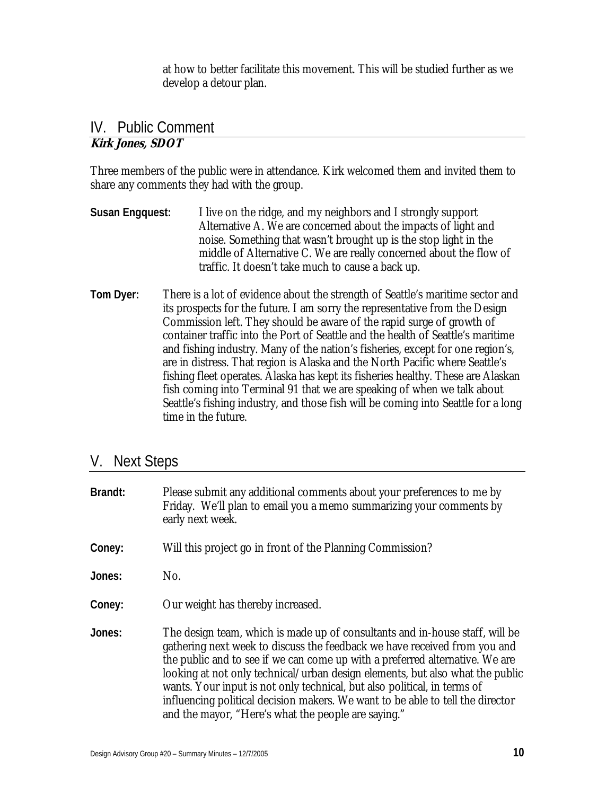at how to better facilitate this movement. This will be studied further as we develop a detour plan.

# IV. Public Comment

### **Kirk Jones, SDOT**

Three members of the public were in attendance. Kirk welcomed them and invited them to share any comments they had with the group.

- **Susan Engquest:** I live on the ridge, and my neighbors and I strongly support Alternative A. We are concerned about the impacts of light and noise. Something that wasn't brought up is the stop light in the middle of Alternative C. We are really concerned about the flow of traffic. It doesn't take much to cause a back up.
- **Tom Dyer:** There is a lot of evidence about the strength of Seattle's maritime sector and its prospects for the future. I am sorry the representative from the Design Commission left. They should be aware of the rapid surge of growth of container traffic into the Port of Seattle and the health of Seattle's maritime and fishing industry. Many of the nation's fisheries, except for one region's, are in distress. That region is Alaska and the North Pacific where Seattle's fishing fleet operates. Alaska has kept its fisheries healthy. These are Alaskan fish coming into Terminal 91 that we are speaking of when we talk about Seattle's fishing industry, and those fish will be coming into Seattle for a long time in the future.

### V. Next Steps

| Brandt: | Please submit any additional comments about your preferences to me by<br>Friday. We'll plan to email you a memo summarizing your comments by<br>early next week.                                                                                                                                                                                                                                                                                                                                                                                |
|---------|-------------------------------------------------------------------------------------------------------------------------------------------------------------------------------------------------------------------------------------------------------------------------------------------------------------------------------------------------------------------------------------------------------------------------------------------------------------------------------------------------------------------------------------------------|
| Coney:  | Will this project go in front of the Planning Commission?                                                                                                                                                                                                                                                                                                                                                                                                                                                                                       |
| Jones:  | No.                                                                                                                                                                                                                                                                                                                                                                                                                                                                                                                                             |
| Coney:  | Our weight has thereby increased.                                                                                                                                                                                                                                                                                                                                                                                                                                                                                                               |
| Jones:  | The design team, which is made up of consultants and in-house staff, will be<br>gathering next week to discuss the feedback we have received from you and<br>the public and to see if we can come up with a preferred alternative. We are<br>looking at not only technical/urban design elements, but also what the public<br>wants. Your input is not only technical, but also political, in terms of<br>influencing political decision makers. We want to be able to tell the director<br>and the mayor, "Here's what the people are saying." |